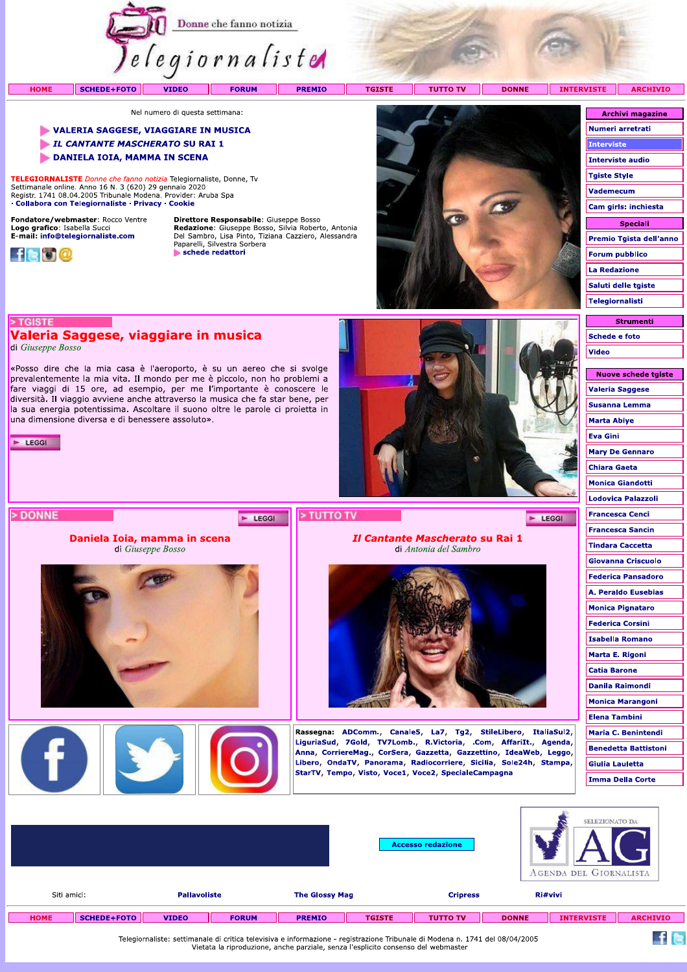

### VALERIA SAGGESE, VIAGGIARE IN MUSICA

L CANTANTE MASCHERATO SU RAI 1

DANIELA IOIA, MAMMA IN SCENA

TELEGIORNALISTE Donne che fanno notizia Telegiornaliste, Donne, Ty Settimanale online. Anno 16 N. 3 (620) 29 gennaio 2020<br>Registr. 1741 08.04.2005 Tribunale Modena. Provider: Aruba Spa · Collabora con Telegiornaliste · Privacy · Cookie

Valeria Saggese, viaggiare in musica

una dimensione diversa e di benessere assoluto».

«Posso dire che la mia casa è l'aeroporto, è su un aereo che si svolge prevalentemente la mia vita. Il mondo per me è piccolo, non ho problemi a fare viaggi di 15 ore, ad esempio, per me l'importante è conoscere le diversità. Il viaggio avviene anche attraverso la musica che fa star bene, per la sua energia potentissima. Ascoltare il suono oltre le parole ci proietta in

Daniela Ioia, mamma in scena

di Giuseppe Bosso

Fondatore/webmaster: Rocco Ventre Logo grafico: Isabella Succi<br>E-mail: info@telegiornaliste.com



> TGISTE

 $\blacktriangleright$  LEGGI

> DONNE

di Giuseppe Bosso

Direttore Responsabile: Giuseppe Bosso **Redazione:** Giuseppe Bosso, Silvia Roberto, Antonia<br>Del Sambro, Lisa Pinto, Tiziana Cazziero, Alessandra<br>Paparelli, Silvestra Sorbera schede redattori

E LEGGI



Il Cantante Mascherato su Rai 1

di Antonia del Sambro

Rassegna: ADComm., Canale5, La7, Tg2, StileLibero, ItaliaSul2, LiguriaSud, 7Gold, TV7Lomb., R.Victoria, .Com, AffariIt., Agenda, Anna, CorriereMag., CorSera, Gazzetta, Gazzettino, IdeaWeb, Leggo, Libero, OndaTV, Panorama, Radiocorriere, Sicilia, Sole24h, Stampa,

StarTV, Tempo, Visto, Voce1, Voce2, SpecialeCampagna

| VISIE<br><b>ARCHIVIO</b> |
|--------------------------|
|                          |
| <b>Archivi magazine</b>  |
| Numeri arretrati         |
| <b>Interviste</b>        |
| <b>Interviste audio</b>  |
| <b>Tgiste Style</b>      |
| <b>Vademecum</b>         |
| Cam girls: inchiesta     |
| Speciali                 |
| Premio Tgista dell'anno  |
| <b>Forum pubblico</b>    |
| <b>La Redazione</b>      |
| Saluti delle tgiste      |
| Telegiornalisti          |
|                          |

**Strumenti Schede e foto Video** 

| Nuove schede tgiste         |
|-----------------------------|
| Valeria Saggese             |
| Susanna Lemma               |
| Marta Abiye                 |
| <b>Eva Gini</b>             |
| <b>Mary De Gennaro</b>      |
| <b>Chiara Gaeta</b>         |
| <b>Monica Giandotti</b>     |
| Lodovica Palazzoli          |
| Francesca Cenci             |
| <b>Francesca Sancin</b>     |
| Tindara Caccetta            |
| Giovanna Criscuolo          |
| Federica Pansadoro          |
| A. Peraldo Eusebias         |
| <b>Monica Pignataro</b>     |
| Federica Corsini            |
| <b>Isabella Romano</b>      |
| Marta E. Rigoni             |
| <b>Catia Barone</b>         |
| Danila Raimondi             |
| Monica Marangoni            |
| <b>Elena Tambini</b>        |
| Maria C. Benintendi         |
| <b>Benedetta Battistoni</b> |
| Giulia Lauletta             |
| Imma Della Corte            |
|                             |

 $f$  is

 $F$  LEGGI

|             |             |                     |              |                       |               | <b>Accesso redazione</b> |              | SELEZIONATO DA<br><b>AGENDA DEL GIORNALISTA</b> |                 |
|-------------|-------------|---------------------|--------------|-----------------------|---------------|--------------------------|--------------|-------------------------------------------------|-----------------|
| Siti amici: |             | <b>Pallavoliste</b> |              | <b>The Glossy Mag</b> |               | <b>Cripress</b>          |              | Ri#vivi                                         |                 |
| <b>HOME</b> | SCHEDE+FOTO | <b>VIDEO</b>        | <b>FORUM</b> | <b>PREMIO</b>         | <b>TGISTE</b> | <b>TUTTO TV</b>          | <b>DONNE</b> | <b>INTERVISTE</b>                               | <b>ARCHIVIO</b> |

> TUTTO TV

Telegiornaliste: settimanale di critica televisiva e informazione - registrazione Tribunale di Modena n. 1741 del 08/04/2005<br>Vietata la riproduzione, anche parziale, senza l'esplicito consenso del webmaster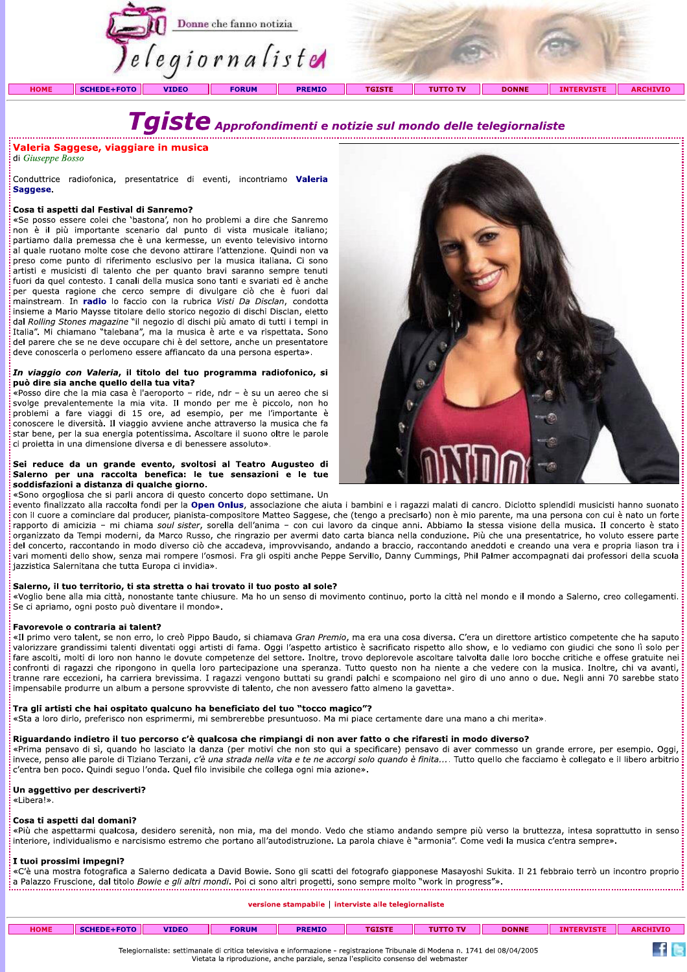

di Giuseppe Bosso

**Transformation in the complete of the CA (in the set of the set of the conservation of the set of the set of the set of the set of the set of the set of the set of the set of the base of the property of the base of the b** insieme a Mario Maysse titolare dello storico negozio di dischi Disclan, eletto dal Rolling Stones magazine "il negozio di dischi più amato di tutti i tempi in Italia". Mi chiamano "talebana", ma la musica è arte e va rispettata. Sono del parere che se ne deve occupare chi è del settore, anche un presentatore deve conoscerla o perlomeno essere affiancato da una persona esperta». i mainstream. In **radio** lo faccio con la rubrica *Visti Da Disclan*, condotta insieme a Mario Mayese titolare dello storico negozio di dischi piscan, eletto idal Rolling Stones magazine "il negozio di cischi più amato di

"Posso dire che la mia casa è l'aeroporto – ride, ndr – è su un aereo che si svolge prevalentemente la mia vita. Il mondo per me è piccolo, non ho conoscere le diversità. Il viaggio avviene anche attraverso la musica che f **pen Onius**, associazione che aluta i bambini e i ragazzi malati di cancro. Diclotto spiendidi musicisti hanno suonato con il cuore a cominciare dal producer, pianista-compositore Matteo Saggese, che (tengo a precisarlo) non è mio parente, ma una persona con cui è nato un forte rapporto di amicizia - mi chiama soul sister, sorella dell'anima - con cui lavoro da cinque anni. Abbiamo la stessa visione della musica. Il concerto è stato organizzato da Tempi moderni, da Marco Russo, che ringrazio per avermi dato carta bianca nella conduzione. Più che una presentatrice, ho voluto essere parte del concerto, raccontando in modo diverso ciò che accadeva, improvvisando, andando a braccio, raccontando aneddoti e creando una vera e propria liason tra i vari momenti dello show, senza mai rompere l'osmosi. Fra gli ospiti anche Peppe Servillo, Danny Cummings, Phil Palmer accompagnati dai professori della scuola<br>jazzistica Salernitana che tutta Europa ci invidia». ion il cuore a cominciare dal producer, pianista-compositore Matteo Saggese, che (tengo a precisarlo) hon è mio parente, ma una persona con cui è nato un forte inapprobro di amicizia – mi chiama sour stier, sorella dell'an

sul primo vero talent, se non erro. Io creò Pippo Baudo, si chiamava Gran Premio, ma era una cosa diversa. C'era un direttore artistico competente che ha spatio and the spatial standard is particular than the spatial stand

invece, penso alle parole di Tiziano Terzani, c'è una strada nella vita e te ne accorgi solo quando è finita.... Tutto quello che facciamo è collegato e il libero arbitrio<br>c'entra ben poco. Quindi seguo l'onda. Quel filo i Esta a loro dirlo, preferisco non esprimermi, mi sembrerebbe presuntuoso. Ma mi piace certamente dare una mano a chi merita».<br> **Riguardando indietro il tuo percorso c'è qualcosa che rimpiangi di non aver fatto o che rifare** 

interiore, individualismo e narcisismo estremo che portano all'autodistruzione. La parola chiave è "armonia". Come vedi la musica c'entra sempre».

: **I tuoi prossimi impegni?**<br>«C'è una mostra fotografica a Salerno dedicata a David Bowie. Sono gli scatti del fotografo giapponese Masayoshi Sukita. Il 21 febbraio terrò un incontro proprio : «C'e una mostra fotografica a Salerno dedicata a David Bowle. Sono gli scatti del fotografo giapponese Masayosni Sukita. Il 21 febbralo terro un incontro proprio Interiore, individualismo e narcisismo estremo che portano all'autodistruzione. La parola chiave e "armonia". Come vedi l<br> **I tuoi prossimi impegni?**<br>
«C'è una mostra fotografica a Salerno dedicata a David Bowie. Sono gli

| <b>HOME</b> | <b>SCHEDE+FOTO</b> | <b>VIDEO</b> | <b>FORUM</b> | <b>PREMIO</b> | <b>TGISTE</b> | <b>TUTTO TV</b> | <b>DONNE</b> | <b>INTERVISTE</b> | <b>ARCHIVIO</b> |
|-------------|--------------------|--------------|--------------|---------------|---------------|-----------------|--------------|-------------------|-----------------|

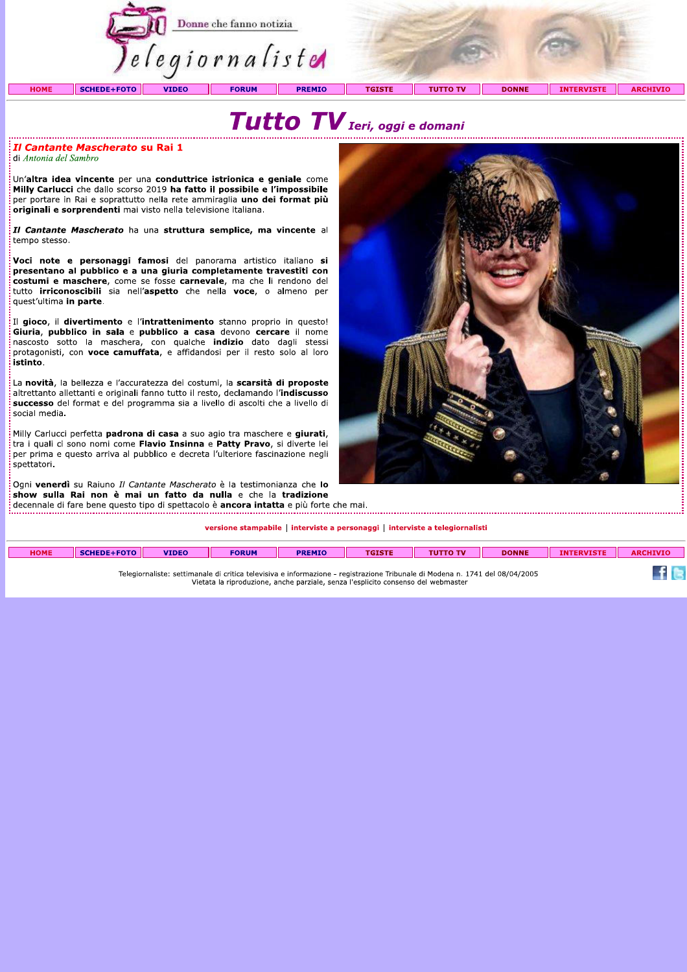

# Tutto TV Ieri, oggi e domani

### *Il Cantante Mascherato su Rai 1* di Antonia del Sambro

Un'altra idea vincente per una conduttrice istrionica e geniale come Milly Carlucci che dallo scorso 2019 ha fatto il possibile e l'impossibile per portare in Rai e soprattutto nella rete ammiraglia uno dei format più originali e sorprendenti mai visto nella televisione italiana.

Il Cantante Mascherato ha una struttura semplice, ma vincente al tempo stesso.

Voci note e personaggi famosi del panorama artistico italiano si presentano al pubblico e a una giuria completamente travestiti con costumi e maschere, come se fosse carnevale, ma che li rendono del tutto irriconoscibili sia nell'aspetto che nella voce, o almeno per quest'ultima in parte.

Il gioco, il divertimento e l'intrattenimento stanno proprio in questo! Giuria, pubblico in sala e pubblico a casa devono cercare il nome protagonisti, con voce camuffata, e affidandosi per il resto solo al loro istinto.

La novità, la bellezza e l'accuratezza dei costumi, la scarsità di proposte altrettanto allettanti e originali fanno tutto il resto, declamando l'indiscusso successo del format e del programma sia a livello di ascolti che a livello di social media.

Milly Carlucci perfetta padrona di casa a suo agio tra maschere e giurati, tra i quali ci sono nomi come Flavio Insinna e Patty Pravo, si diverte lei per prima e questo arriva al pubblico e decreta l'ulteriore fascinazione negli snettatori.

Ogni venerdì su Raiuno Il Cantante Mascherato è la testimonianza che lo show sulla Rai non è mai un fatto da nulla e che la tradizione decennale di fare bene questo tipo di spettacolo è ancora intatta e più forte che mai.

versione stampabile | interviste a personaggi | interviste a telegiornalisti

| <b>HOME</b> | SCHEDE+FOTO | <b>VIDEO</b> | <b>FORUM</b> | <b>PREMIO</b> | <b>TGISTE</b> | <b>TUTTO TV</b> | <b>DONNE</b> | EDUTCTE<br>۱. . | <b>ARCHIVIO</b> |
|-------------|-------------|--------------|--------------|---------------|---------------|-----------------|--------------|-----------------|-----------------|
|             |             |              |              |               |               |                 |              |                 |                 |

Telegiornaliste: settimanale di critica televisiva e informazione - registrazione Tribunale di Modena n. 1741 del 08/04/2005 Vietata la riproduzione, anche parziale, senza l'esplicito consenso del webmaster



 $\pm$  6